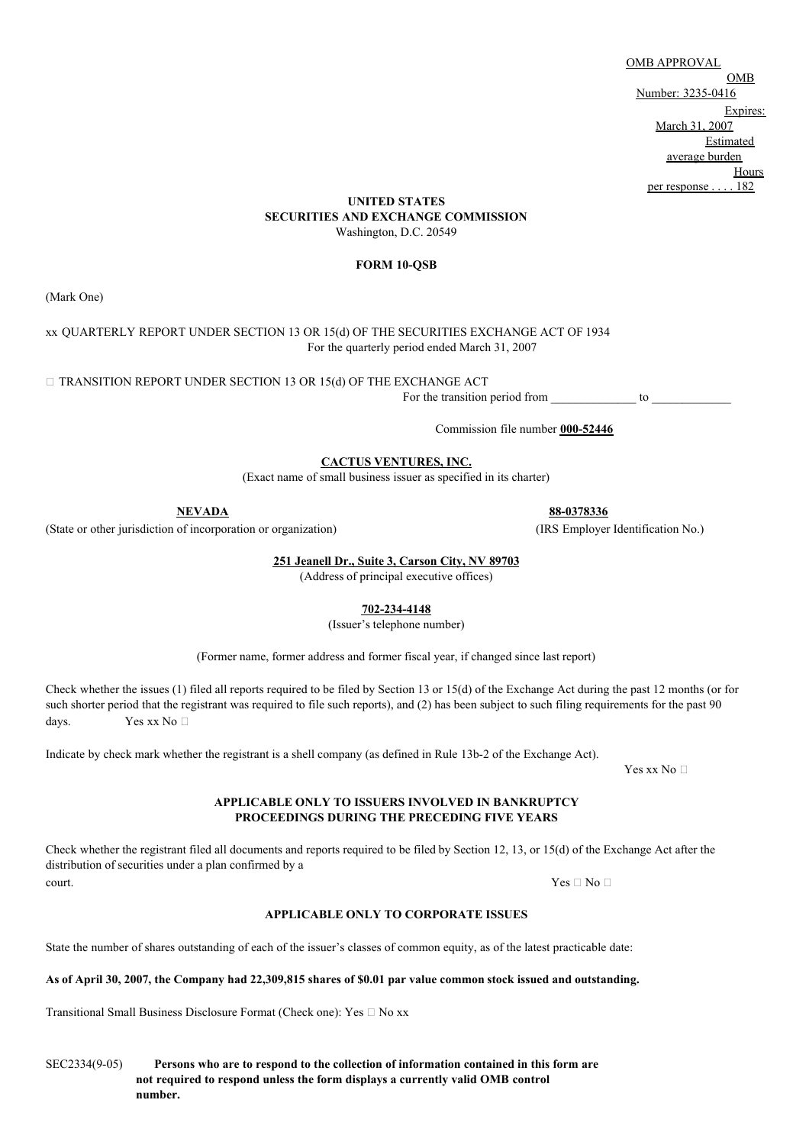OMB APPROVAL OMB Number: 3235-0416 Expires: March 31, 2007 **Estimated** average burden **Hours** per response . . . . 182

### **UNITED STATES SECURITIES AND EXCHANGE COMMISSION** Washington, D.C. 20549

## **FORM 10-QSB**

(Mark One)

xx QUARTERLY REPORT UNDER SECTION 13 OR 15(d) OF THE SECURITIES EXCHANGE ACT OF 1934 For the quarterly period ended March 31, 2007

TRANSITION REPORT UNDER SECTION 13 OR 15(d) OF THE EXCHANGE ACT

For the transition period from to  $\sim$ 

Commission file number **000-52446**

**CACTUS VENTURES, INC.**

(Exact name of small business issuer as specified in its charter)

(State or other jurisdiction of incorporation or organization) (IRS Employer Identification No.)

**251 Jeanell Dr., Suite 3, Carson City, NV 89703**

(Address of principal executive offices)

**702-234-4148**

(Issuer's telephone number)

(Former name, former address and former fiscal year, if changed since last report)

Check whether the issues (1) filed all reports required to be filed by Section 13 or 15(d) of the Exchange Act during the past 12 months (or for such shorter period that the registrant was required to file such reports), and (2) has been subject to such filing requirements for the past 90 days. Yes xx No □

Indicate by check mark whether the registrant is a shell company (as defined in Rule 13b-2 of the Exchange Act).

Yes xx No

# **APPLICABLE ONLY TO ISSUERS INVOLVED IN BANKRUPTCY PROCEEDINGS DURING THE PRECEDING FIVE YEARS**

Check whether the registrant filed all documents and reports required to be filed by Section 12, 13, or 15(d) of the Exchange Act after the distribution of securities under a plan confirmed by a court.  $\mathbf{Yes} \Box \mathbf{No} \Box$ 

**APPLICABLE ONLY TO CORPORATE ISSUES**

State the number of shares outstanding of each of the issuer's classes of common equity, as of the latest practicable date:

#### As of April 30, 2007, the Company had 22,309,815 shares of \$0.01 par value common stock issued and outstanding.

Transitional Small Business Disclosure Format (Check one): Yes  $\Box$  No xx

SEC2334(9-05) **Persons who are to respond to the collection of information contained in this form are not required to respond unless the form displays a currently valid OMB control number.**

**NEVADA 88-0378336**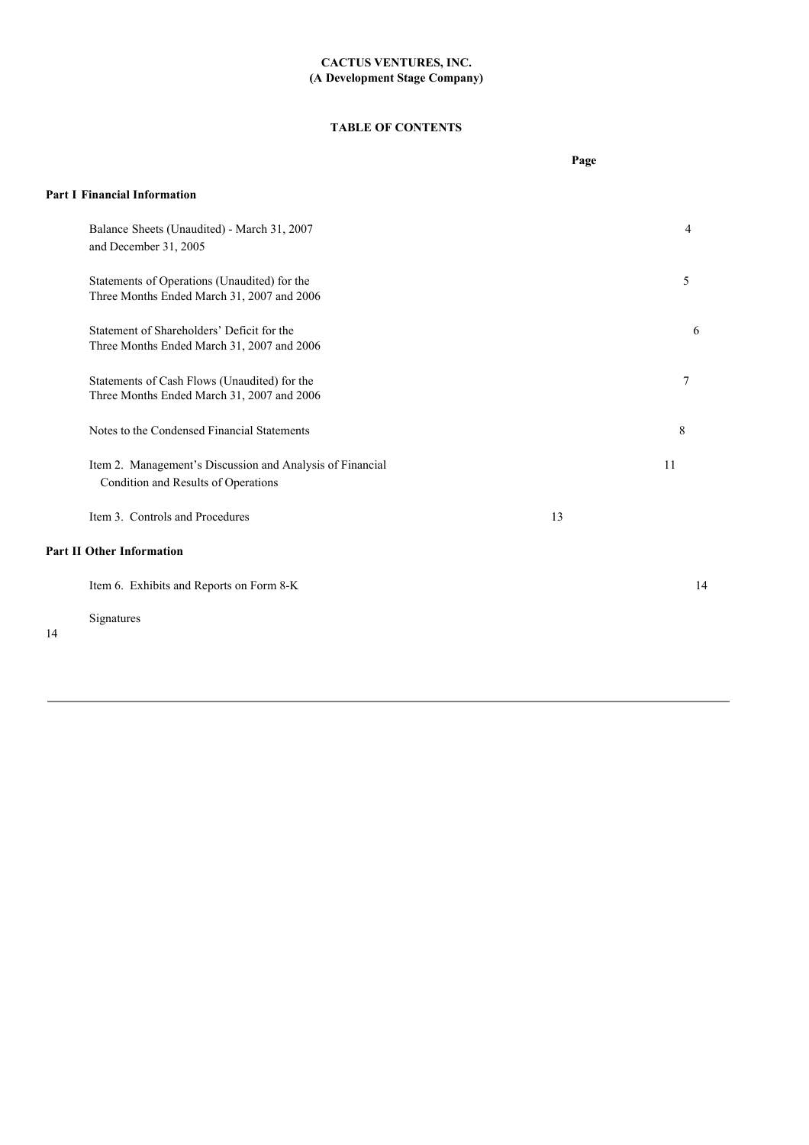# **CACTUS VENTURES, INC. (A Development Stage Company)**

# **TABLE OF CONTENTS**

|    |                                                                                                  | Page |    |
|----|--------------------------------------------------------------------------------------------------|------|----|
|    | <b>Part I Financial Information</b>                                                              |      |    |
|    | Balance Sheets (Unaudited) - March 31, 2007<br>and December 31, 2005                             |      | 4  |
|    | Statements of Operations (Unaudited) for the<br>Three Months Ended March 31, 2007 and 2006       |      | 5  |
|    | Statement of Shareholders' Deficit for the<br>Three Months Ended March 31, 2007 and 2006         |      | 6  |
|    | Statements of Cash Flows (Unaudited) for the<br>Three Months Ended March 31, 2007 and 2006       |      | 7  |
|    | Notes to the Condensed Financial Statements                                                      |      | 8  |
|    | Item 2. Management's Discussion and Analysis of Financial<br>Condition and Results of Operations | 11   |    |
|    | Item 3. Controls and Procedures                                                                  | 13   |    |
|    | <b>Part II Other Information</b>                                                                 |      |    |
|    | Item 6. Exhibits and Reports on Form 8-K                                                         |      | 14 |
| 14 | Signatures                                                                                       |      |    |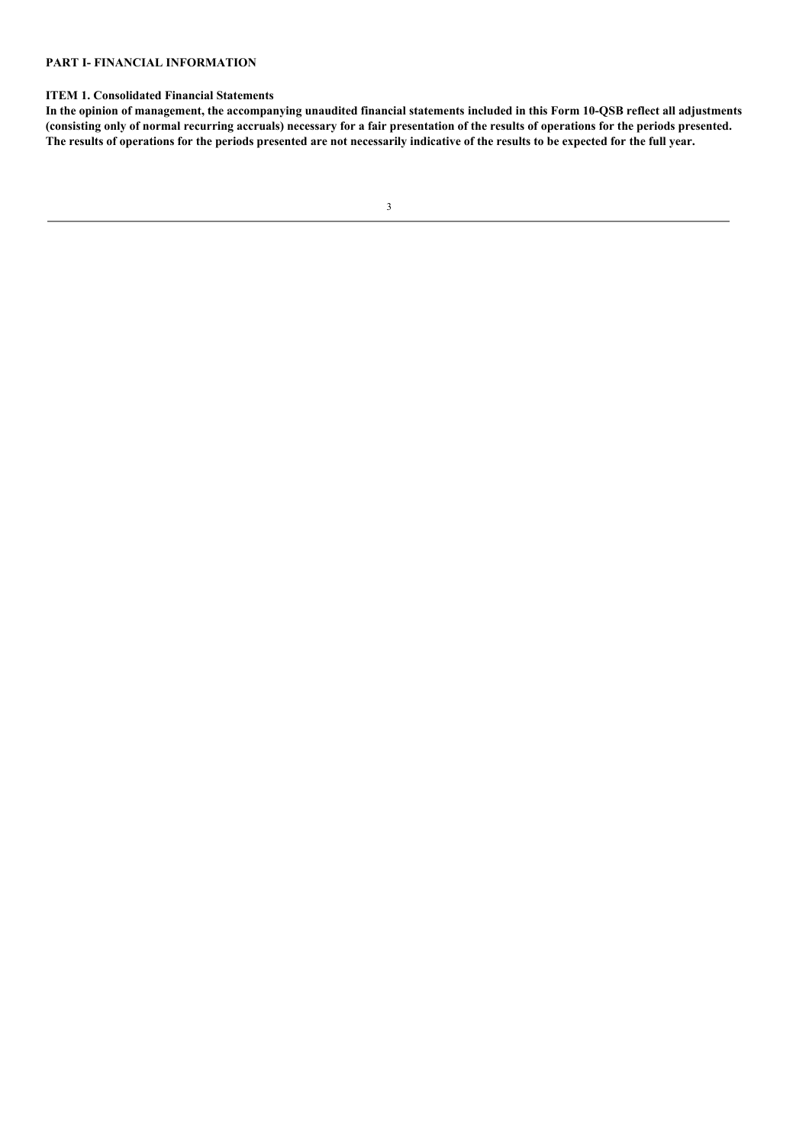# **PART I- FINANCIAL INFORMATION**

## **ITEM 1. Consolidated Financial Statements**

In the opinion of management, the accompanying unaudited financial statements included in this Form 10-QSB reflect all adjustments (consisting only of normal recurring accruals) necessary for a fair presentation of the results of operations for the periods presented. The results of operations for the periods presented are not necessarily indicative of the results to be expected for the full year.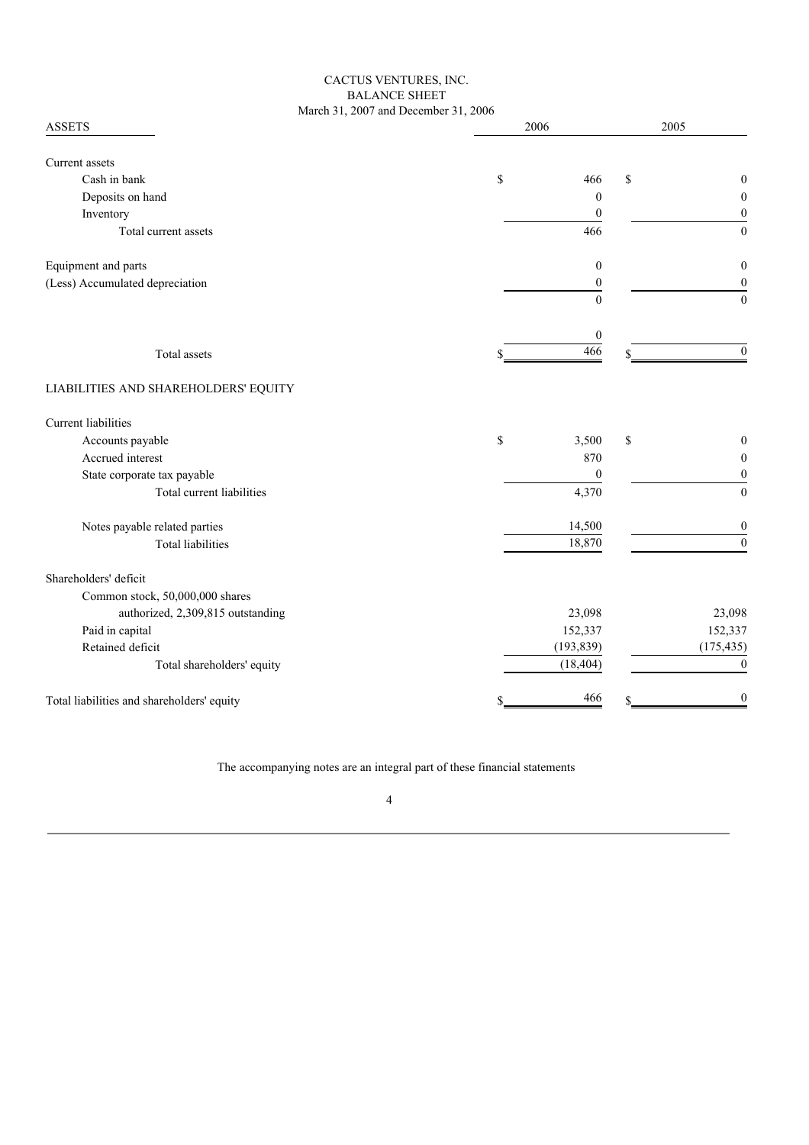# CACTUS VENTURES, INC. BALANCE SHEET March 31, 2007 and December 31, 2006

| <b>ASSETS</b>                              | 2006                 | 2005                   |
|--------------------------------------------|----------------------|------------------------|
| Current assets                             |                      |                        |
| Cash in bank                               | $\mathbb{S}$<br>466  | \$<br>$\boldsymbol{0}$ |
| Deposits on hand                           | $\boldsymbol{0}$     | $\mathbf{0}$           |
| Inventory                                  | $\boldsymbol{0}$     | $\boldsymbol{0}$       |
| Total current assets                       | 466                  | $\boldsymbol{0}$       |
| Equipment and parts                        | $\boldsymbol{0}$     | $\boldsymbol{0}$       |
| (Less) Accumulated depreciation            | $\boldsymbol{0}$     | $\boldsymbol{0}$       |
|                                            | $\theta$             | $\mathbf{0}$           |
|                                            | $\mathbf{0}$         |                        |
| Total assets                               | 466<br>\$            | $\boldsymbol{0}$       |
| LIABILITIES AND SHAREHOLDERS' EQUITY       |                      |                        |
| Current liabilities                        |                      |                        |
| Accounts payable                           | $\mathbb S$<br>3,500 | \$<br>$\boldsymbol{0}$ |
| Accrued interest                           | 870                  | $\boldsymbol{0}$       |
| State corporate tax payable                | $\boldsymbol{0}$     | $\boldsymbol{0}$       |
| Total current liabilities                  | 4,370                | $\boldsymbol{0}$       |
| Notes payable related parties              | 14,500               | $\boldsymbol{0}$       |
| <b>Total liabilities</b>                   | 18,870               | $\overline{0}$         |
| Shareholders' deficit                      |                      |                        |
| Common stock, 50,000,000 shares            |                      |                        |
| authorized, 2,309,815 outstanding          | 23,098               | 23,098                 |
| Paid in capital                            | 152,337              | 152,337                |
| Retained deficit                           | (193, 839)           | (175, 435)             |
| Total shareholders' equity                 | (18, 404)            | $\mathbf{0}$           |
| Total liabilities and shareholders' equity | 466<br>\$            | $\theta$               |

The accompanying notes are an integral part of these financial statements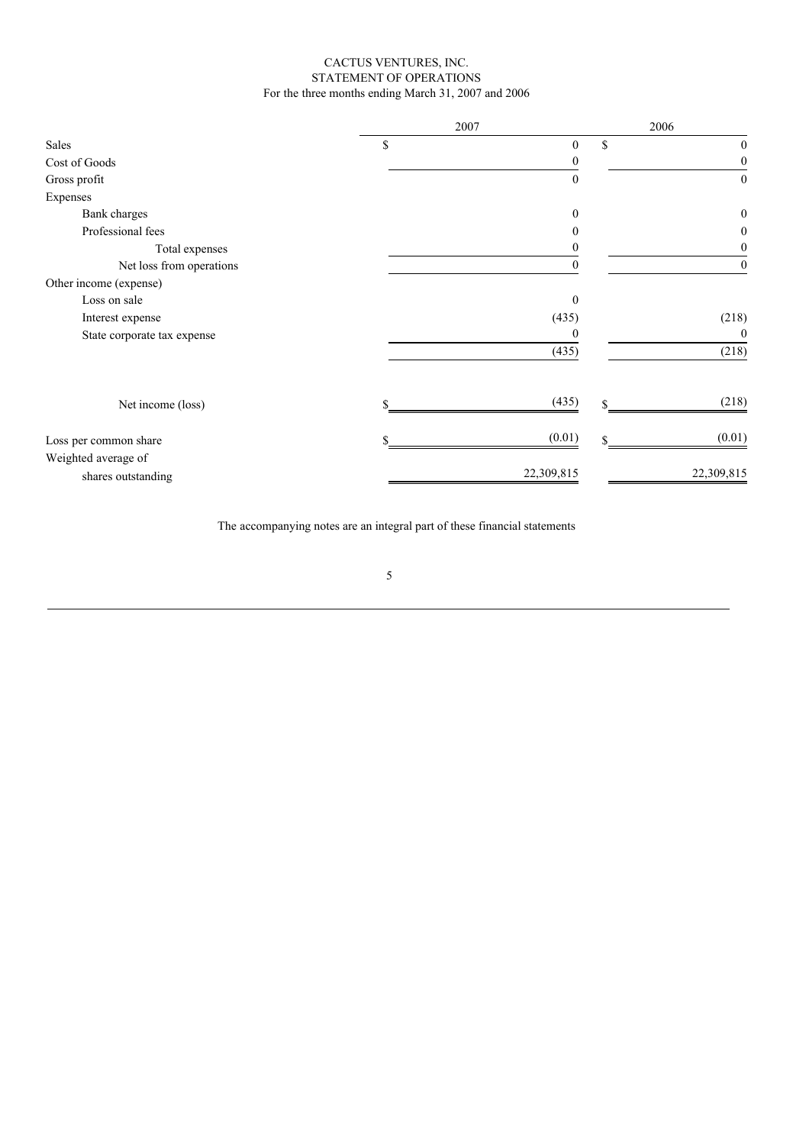# CACTUS VENTURES, INC. STATEMENT OF OPERATIONS For the three months ending March 31, 2007 and 2006

|                             | 2007               |              | 2006             |
|-----------------------------|--------------------|--------------|------------------|
| Sales                       | \$<br>$\mathbf{0}$ | $\mathbb{S}$ | $\mathbf{0}$     |
| Cost of Goods               | 0                  |              | $\boldsymbol{0}$ |
| Gross profit                | $\mathbf{0}$       |              | $\boldsymbol{0}$ |
| Expenses                    |                    |              |                  |
| Bank charges                | $\boldsymbol{0}$   |              | $\boldsymbol{0}$ |
| Professional fees           | $\theta$           |              | $\boldsymbol{0}$ |
| Total expenses              | 0                  |              |                  |
| Net loss from operations    | $\theta$           |              | $\boldsymbol{0}$ |
| Other income (expense)      |                    |              |                  |
| Loss on sale                | $\bf{0}$           |              |                  |
| Interest expense            | (435)              |              | (218)            |
| State corporate tax expense | 0                  |              | $\mathbf{0}$     |
|                             | (435)              |              | (218)            |
|                             |                    |              |                  |
| Net income (loss)           | (435)              | \$           | (218)            |
| Loss per common share       | (0.01)             | \$           | (0.01)           |
| Weighted average of         |                    |              |                  |
| shares outstanding          | 22,309,815         |              | 22,309,815       |

The accompanying notes are an integral part of these financial statements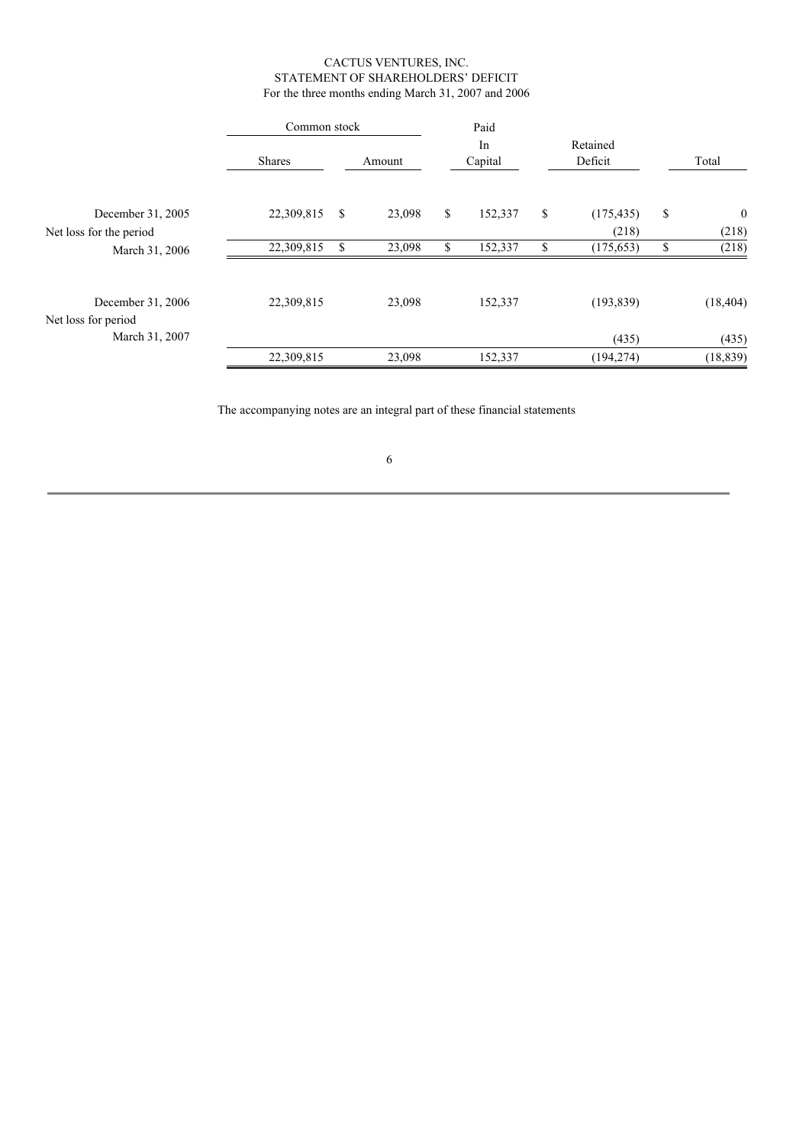# CACTUS VENTURES, INC. STATEMENT OF SHAREHOLDERS' DEFICIT For the three months ending March 31, 2007 and 2006

|                                              | Common stock  |     |        | Paid |               |    |                     |    |                       |  |
|----------------------------------------------|---------------|-----|--------|------|---------------|----|---------------------|----|-----------------------|--|
|                                              | <b>Shares</b> |     | Amount |      | In<br>Capital |    | Retained<br>Deficit |    | Total                 |  |
| December 31, 2005<br>Net loss for the period | 22,309,815    | \$  | 23,098 | \$   | 152,337       | \$ | (175, 435)<br>(218) | \$ | $\mathbf{0}$<br>(218) |  |
| March 31, 2006                               | 22,309,815    | \$. | 23,098 | S.   | 152,337       |    | (175, 653)          | \$ | (218)                 |  |
| December 31, 2006<br>Net loss for period     | 22,309,815    |     | 23,098 |      | 152,337       |    | (193, 839)          |    | (18, 404)             |  |
| March 31, 2007                               |               |     |        |      |               |    | (435)               |    | (435)                 |  |
|                                              | 22,309,815    |     | 23,098 |      | 152,337       |    | (194, 274)          |    | (18, 839)             |  |

The accompanying notes are an integral part of these financial statements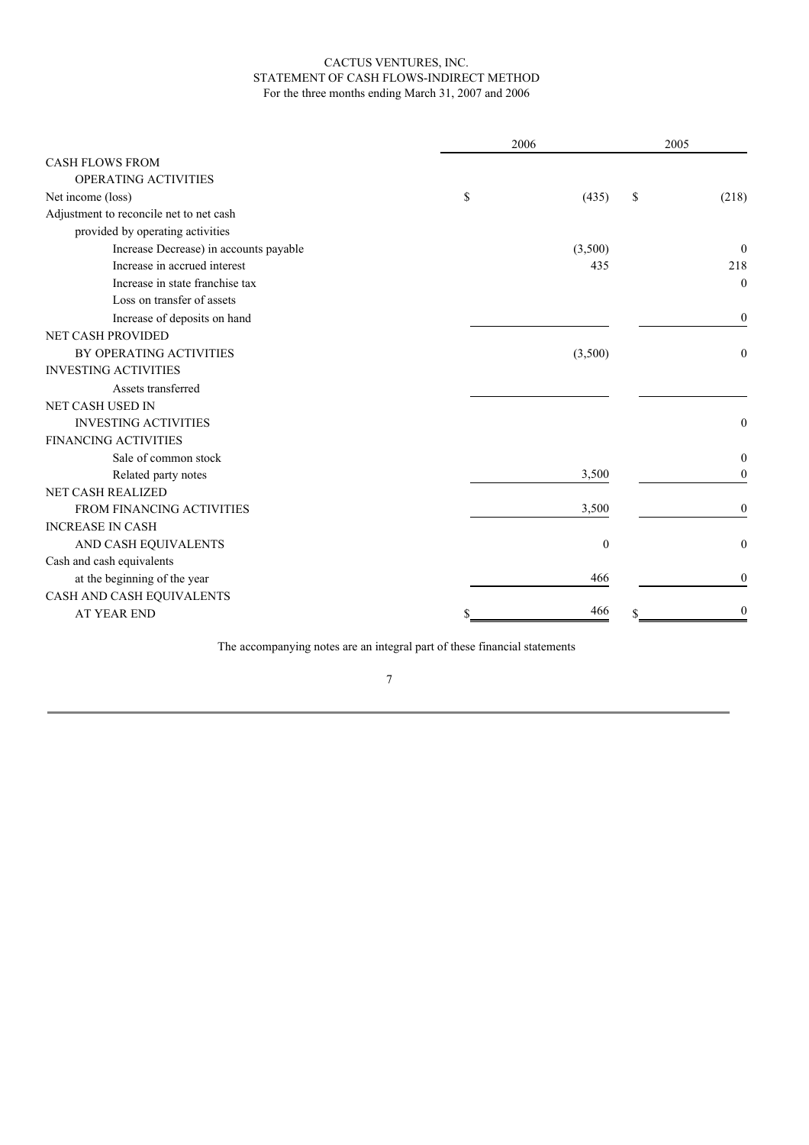# CACTUS VENTURES, INC. STATEMENT OF CASH FLOWS-INDIRECT METHOD For the three months ending March 31, 2007 and 2006

|                                         | 2006 |              | 2005 |              |
|-----------------------------------------|------|--------------|------|--------------|
| <b>CASH FLOWS FROM</b>                  |      |              |      |              |
| OPERATING ACTIVITIES                    |      |              |      |              |
| Net income (loss)                       | \$   | (435)        | \$   | (218)        |
| Adjustment to reconcile net to net cash |      |              |      |              |
| provided by operating activities        |      |              |      |              |
| Increase Decrease) in accounts payable  |      | (3,500)      |      | $\mathbf{0}$ |
| Increase in accrued interest            |      | 435          |      | 218          |
| Increase in state franchise tax         |      |              |      | $\mathbf{0}$ |
| Loss on transfer of assets              |      |              |      |              |
| Increase of deposits on hand            |      |              |      | $\mathbf{0}$ |
| <b>NET CASH PROVIDED</b>                |      |              |      |              |
| BY OPERATING ACTIVITIES                 |      | (3,500)      |      | $\mathbf{0}$ |
| <b>INVESTING ACTIVITIES</b>             |      |              |      |              |
| Assets transferred                      |      |              |      |              |
| <b>NET CASH USED IN</b>                 |      |              |      |              |
| <b>INVESTING ACTIVITIES</b>             |      |              |      | $\mathbf{0}$ |
| <b>FINANCING ACTIVITIES</b>             |      |              |      |              |
| Sale of common stock                    |      |              |      | $\mathbf{0}$ |
| Related party notes                     |      | 3,500        |      | $\mathbf{0}$ |
| <b>NET CASH REALIZED</b>                |      |              |      |              |
| FROM FINANCING ACTIVITIES               |      | 3,500        |      | $\mathbf{0}$ |
| <b>INCREASE IN CASH</b>                 |      |              |      |              |
| AND CASH EQUIVALENTS                    |      | $\mathbf{0}$ |      | $\mathbf{0}$ |
| Cash and cash equivalents               |      |              |      |              |
| at the beginning of the year            |      | 466          |      | $\mathbf{0}$ |
| CASH AND CASH EQUIVALENTS               |      |              |      |              |
| <b>AT YEAR END</b>                      |      | 466          |      | $\mathbf{0}$ |

The accompanying notes are an integral part of these financial statements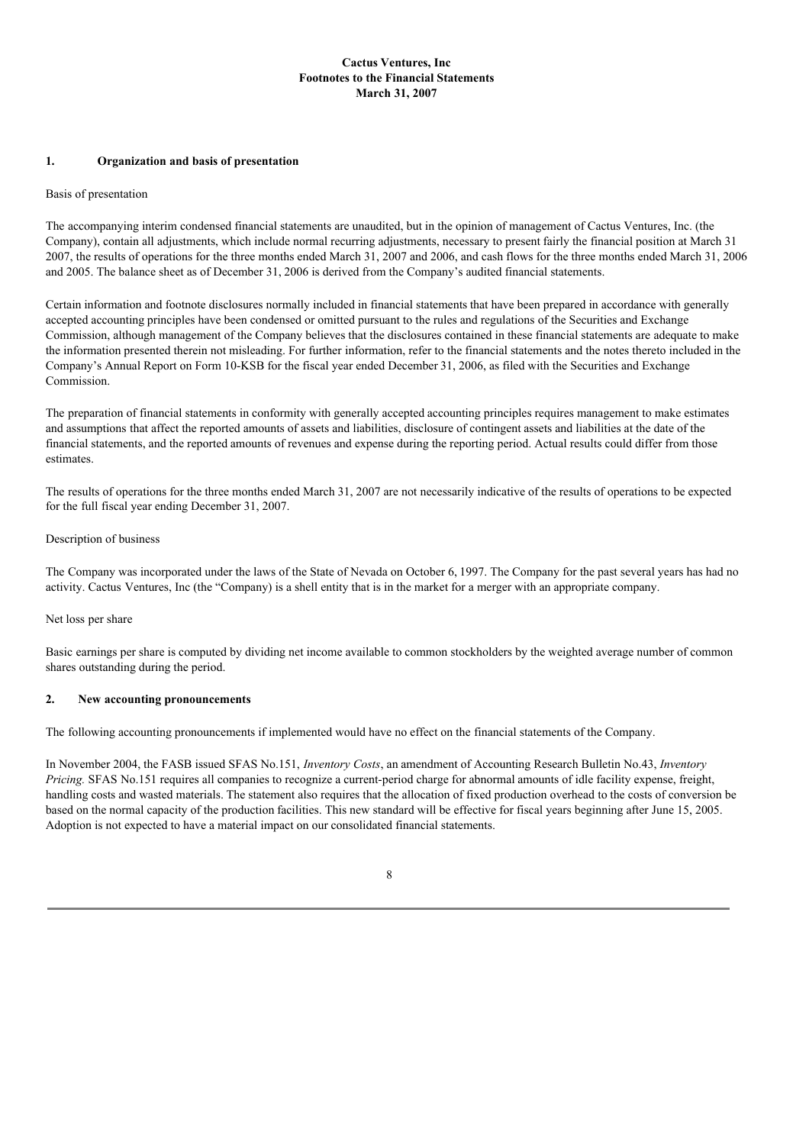# **Cactus Ventures, Inc Footnotes to the Financial Statements March 31, 2007**

### **1. Organization and basis of presentation**

#### Basis of presentation

The accompanying interim condensed financial statements are unaudited, but in the opinion of management of Cactus Ventures, Inc. (the Company), contain all adjustments, which include normal recurring adjustments, necessary to present fairly the financial position at March 31 2007, the results of operations for the three months ended March 31, 2007 and 2006, and cash flows for the three months ended March 31, 2006 and 2005. The balance sheet as of December 31, 2006 is derived from the Company's audited financial statements.

Certain information and footnote disclosures normally included in financial statements that have been prepared in accordance with generally accepted accounting principles have been condensed or omitted pursuant to the rules and regulations of the Securities and Exchange Commission, although management of the Company believes that the disclosures contained in these financial statements are adequate to make the information presented therein not misleading. For further information, refer to the financial statements and the notes thereto included in the Company's Annual Report on Form 10-KSB for the fiscal year ended December 31, 2006, as filed with the Securities and Exchange Commission.

The preparation of financial statements in conformity with generally accepted accounting principles requires management to make estimates and assumptions that affect the reported amounts of assets and liabilities, disclosure of contingent assets and liabilities at the date of the financial statements, and the reported amounts of revenues and expense during the reporting period. Actual results could differ from those estimates.

The results of operations for the three months ended March 31, 2007 are not necessarily indicative of the results of operations to be expected for the full fiscal year ending December 31, 2007.

### Description of business

The Company was incorporated under the laws of the State of Nevada on October 6, 1997. The Company for the past several years has had no activity. Cactus Ventures, Inc (the "Company) is a shell entity that is in the market for a merger with an appropriate company.

## Net loss per share

Basic earnings per share is computed by dividing net income available to common stockholders by the weighted average number of common shares outstanding during the period.

### **2. New accounting pronouncements**

The following accounting pronouncements if implemented would have no effect on the financial statements of the Company.

In November 2004, the FASB issued SFAS No.151, *Inventory Costs*, an amendment of Accounting Research Bulletin No.43, *Inventory Pricing.* SFAS No.151 requires all companies to recognize a current-period charge for abnormal amounts of idle facility expense, freight, handling costs and wasted materials. The statement also requires that the allocation of fixed production overhead to the costs of conversion be based on the normal capacity of the production facilities. This new standard will be effective for fiscal years beginning after June 15, 2005. Adoption is not expected to have a material impact on our consolidated financial statements.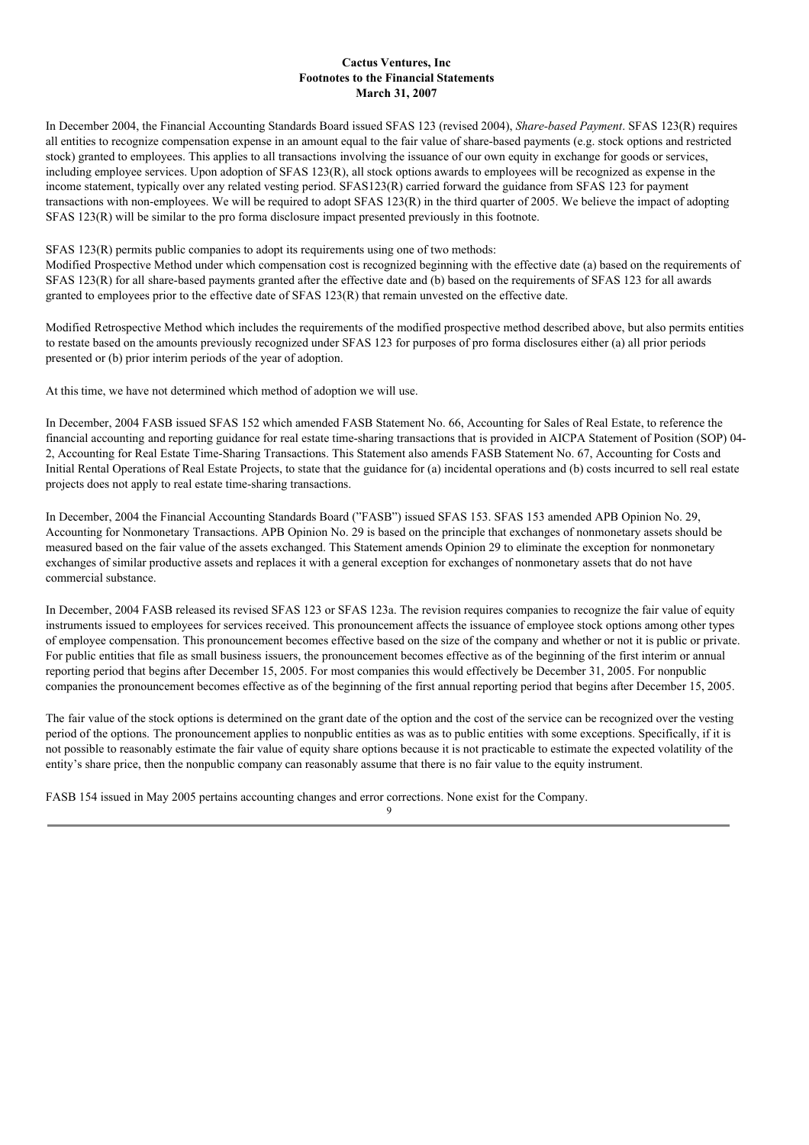# **Cactus Ventures, Inc Footnotes to the Financial Statements March 31, 2007**

In December 2004, the Financial Accounting Standards Board issued SFAS 123 (revised 2004), *Share-based Payment*. SFAS 123(R) requires all entities to recognize compensation expense in an amount equal to the fair value of share-based payments (e.g. stock options and restricted stock) granted to employees. This applies to all transactions involving the issuance of our own equity in exchange for goods or services, including employee services. Upon adoption of SFAS 123(R), all stock options awards to employees will be recognized as expense in the income statement, typically over any related vesting period. SFAS123(R) carried forward the guidance from SFAS 123 for payment transactions with non-employees. We will be required to adopt SFAS 123(R) in the third quarter of 2005. We believe the impact of adopting SFAS 123(R) will be similar to the pro forma disclosure impact presented previously in this footnote.

SFAS 123(R) permits public companies to adopt its requirements using one of two methods:

Modified Prospective Method under which compensation cost is recognized beginning with the effective date (a) based on the requirements of SFAS 123(R) for all share-based payments granted after the effective date and (b) based on the requirements of SFAS 123 for all awards granted to employees prior to the effective date of SFAS 123(R) that remain unvested on the effective date.

Modified Retrospective Method which includes the requirements of the modified prospective method described above, but also permits entities to restate based on the amounts previously recognized under SFAS 123 for purposes of pro forma disclosures either (a) all prior periods presented or (b) prior interim periods of the year of adoption.

At this time, we have not determined which method of adoption we will use.

In December, 2004 FASB issued SFAS 152 which amended FASB Statement No. 66, Accounting for Sales of Real Estate, to reference the financial accounting and reporting guidance for real estate time-sharing transactions that is provided in AICPA Statement of Position (SOP) 04- 2, Accounting for Real Estate Time-Sharing Transactions. This Statement also amends FASB Statement No. 67, Accounting for Costs and Initial Rental Operations of Real Estate Projects, to state that the guidance for (a) incidental operations and (b) costs incurred to sell real estate projects does not apply to real estate time-sharing transactions.

In December, 2004 the Financial Accounting Standards Board ("FASB") issued SFAS 153. SFAS 153 amended APB Opinion No. 29, Accounting for Nonmonetary Transactions. APB Opinion No. 29 is based on the principle that exchanges of nonmonetary assets should be measured based on the fair value of the assets exchanged. This Statement amends Opinion 29 to eliminate the exception for nonmonetary exchanges of similar productive assets and replaces it with a general exception for exchanges of nonmonetary assets that do not have commercial substance.

In December, 2004 FASB released its revised SFAS 123 or SFAS 123a. The revision requires companies to recognize the fair value of equity instruments issued to employees for services received. This pronouncement affects the issuance of employee stock options among other types of employee compensation. This pronouncement becomes effective based on the size of the company and whether or not it is public or private. For public entities that file as small business issuers, the pronouncement becomes effective as of the beginning of the first interim or annual reporting period that begins after December 15, 2005. For most companies this would effectively be December 31, 2005. For nonpublic companies the pronouncement becomes effective as of the beginning of the first annual reporting period that begins after December 15, 2005.

The fair value of the stock options is determined on the grant date of the option and the cost of the service can be recognized over the vesting period of the options. The pronouncement applies to nonpublic entities as was as to public entities with some exceptions. Specifically, if it is not possible to reasonably estimate the fair value of equity share options because it is not practicable to estimate the expected volatility of the entity's share price, then the nonpublic company can reasonably assume that there is no fair value to the equity instrument.

FASB 154 issued in May 2005 pertains accounting changes and error corrections. None exist for the Company.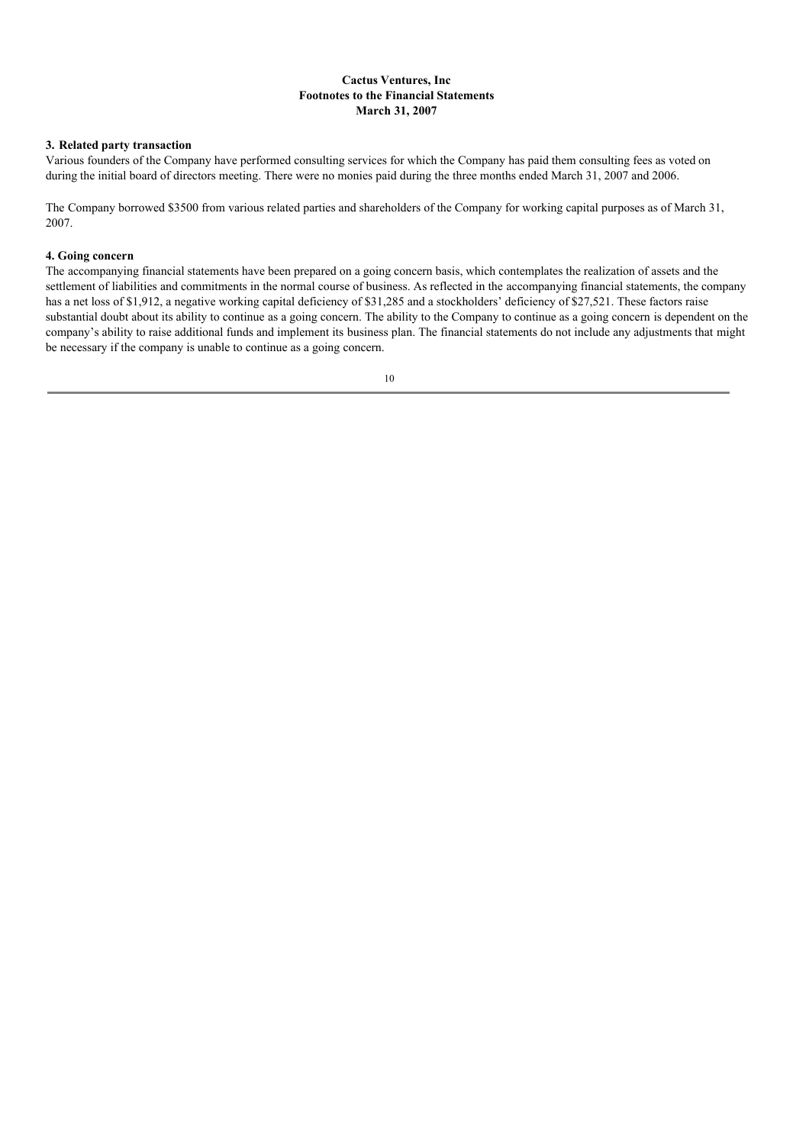## **Cactus Ventures, Inc Footnotes to the Financial Statements March 31, 2007**

## **3. Related party transaction**

Various founders of the Company have performed consulting services for which the Company has paid them consulting fees as voted on during the initial board of directors meeting. There were no monies paid during the three months ended March 31, 2007 and 2006.

The Company borrowed \$3500 from various related parties and shareholders of the Company for working capital purposes as of March 31, 2007.

#### **4. Going concern**

The accompanying financial statements have been prepared on a going concern basis, which contemplates the realization of assets and the settlement of liabilities and commitments in the normal course of business. As reflected in the accompanying financial statements, the company has a net loss of \$1,912, a negative working capital deficiency of \$31,285 and a stockholders' deficiency of \$27,521. These factors raise substantial doubt about its ability to continue as a going concern. The ability to the Company to continue as a going concern is dependent on the company's ability to raise additional funds and implement its business plan. The financial statements do not include any adjustments that might be necessary if the company is unable to continue as a going concern.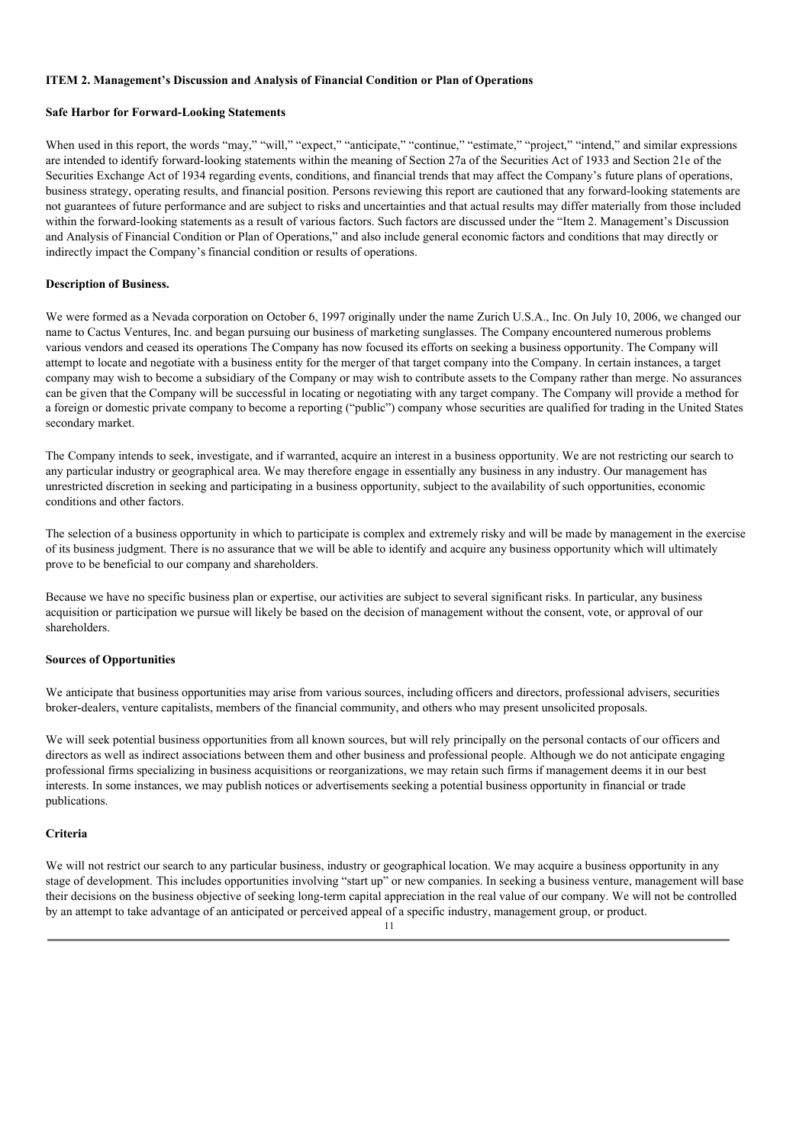# **ITEM 2. Management's Discussion and Analysis of Financial Condition or Plan of Operations**

#### **Safe Harbor for Forward-Looking Statements**

When used in this report, the words "may," "will," "expect," "anticipate," "continue," "estimate," "project," "intend," and similar expressions are intended to identify forward-looking statements within the meaning of Section 27a of the Securities Act of 1933 and Section 21e of the Securities Exchange Act of 1934 regarding events, conditions, and financial trends that may affect the Company's future plans of operations, business strategy, operating results, and financial position. Persons reviewing this report are cautioned that any forward-looking statements are not guarantees of future performance and are subject to risks and uncertainties and that actual results may differ materially from those included within the forward-looking statements as a result of various factors. Such factors are discussed under the "Item 2. Management's Discussion and Analysis of Financial Condition or Plan of Operations," and also include general economic factors and conditions that may directly or indirectly impact the Company's financial condition or results of operations.

### **Description of Business.**

We were formed as a Nevada corporation on October 6, 1997 originally under the name Zurich U.S.A., Inc. On July 10, 2006, we changed our name to Cactus Ventures, Inc. and began pursuing our business of marketing sunglasses. The Company encountered numerous problems various vendors and ceased its operations The Company has now focused its efforts on seeking a business opportunity. The Company will attempt to locate and negotiate with a business entity for the merger of that target company into the Company. In certain instances, a target company may wish to become a subsidiary of the Company or may wish to contribute assets to the Company rather than merge. No assurances can be given that the Company will be successful in locating or negotiating with any target company. The Company will provide a method for a foreign or domestic private company to become a reporting ("public") company whose securities are qualified for trading in the United States secondary market.

The Company intends to seek, investigate, and if warranted, acquire an interest in a business opportunity. We are not restricting our search to any particular industry or geographical area. We may therefore engage in essentially any business in any industry. Our management has unrestricted discretion in seeking and participating in a business opportunity, subject to the availability of such opportunities, economic conditions and other factors.

The selection of a business opportunity in which to participate is complex and extremely risky and will be made by management in the exercise of its business judgment. There is no assurance that we will be able to identify and acquire any business opportunity which will ultimately prove to be beneficial to our company and shareholders.

Because we have no specific business plan or expertise, our activities are subject to several significant risks. In particular, any business acquisition or participation we pursue will likely be based on the decision of management without the consent, vote, or approval of our shareholders.

### **Sources of Opportunities**

We anticipate that business opportunities may arise from various sources, including officers and directors, professional advisers, securities broker-dealers, venture capitalists, members of the financial community, and others who may present unsolicited proposals.

We will seek potential business opportunities from all known sources, but will rely principally on the personal contacts of our officers and directors as well as indirect associations between them and other business and professional people. Although we do not anticipate engaging professional firms specializing in business acquisitions or reorganizations, we may retain such firms if management deems it in our best interests. In some instances, we may publish notices or advertisements seeking a potential business opportunity in financial or trade publications.

## **Criteria**

We will not restrict our search to any particular business, industry or geographical location. We may acquire a business opportunity in any stage of development. This includes opportunities involving "start up" or new companies. In seeking a business venture, management will base their decisions on the business objective of seeking long-term capital appreciation in the real value of our company. We will not be controlled by an attempt to take advantage of an anticipated or perceived appeal of a specific industry, management group, or product.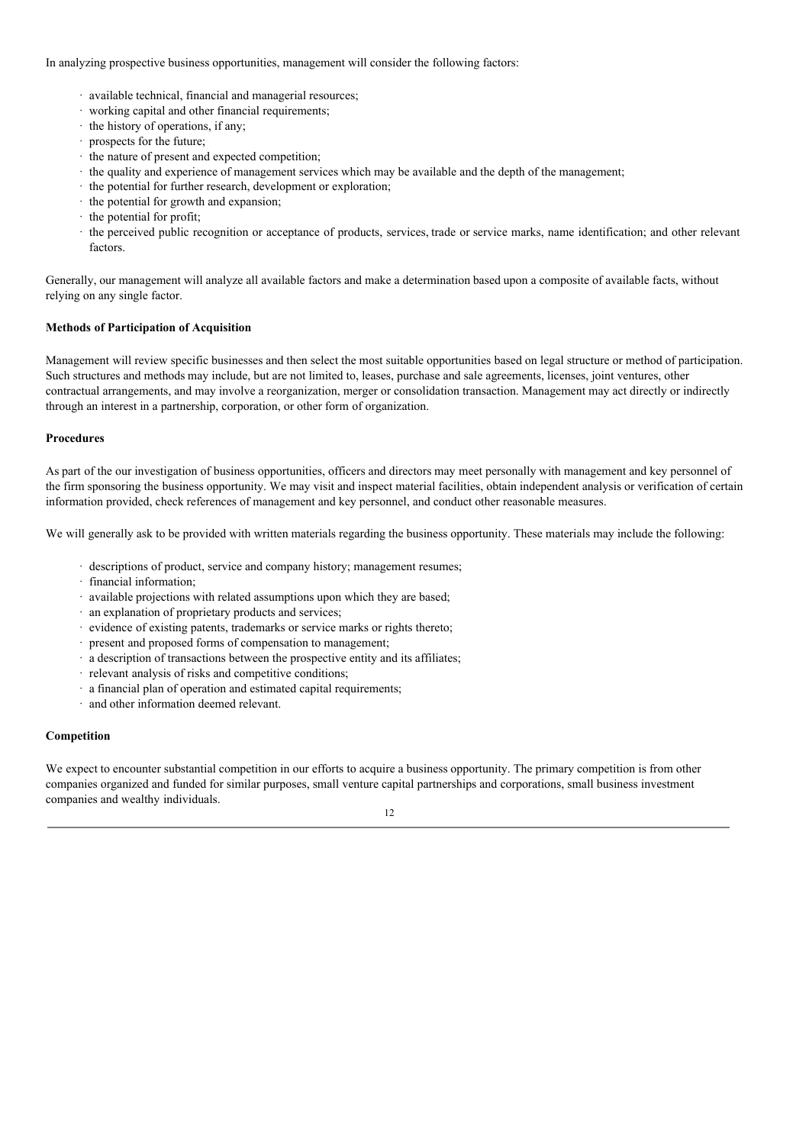In analyzing prospective business opportunities, management will consider the following factors:

- · available technical, financial and managerial resources;
- · working capital and other financial requirements;
- · the history of operations, if any;
- · prospects for the future;
- · the nature of present and expected competition;
- · the quality and experience of management services which may be available and the depth of the management;
- · the potential for further research, development or exploration;
- · the potential for growth and expansion;
- · the potential for profit;
- · the perceived public recognition or acceptance of products, services, trade or service marks, name identification; and other relevant factors.

Generally, our management will analyze all available factors and make a determination based upon a composite of available facts, without relying on any single factor.

### **Methods of Participation of Acquisition**

Management will review specific businesses and then select the most suitable opportunities based on legal structure or method of participation. Such structures and methods may include, but are not limited to, leases, purchase and sale agreements, licenses, joint ventures, other contractual arrangements, and may involve a reorganization, merger or consolidation transaction. Management may act directly or indirectly through an interest in a partnership, corporation, or other form of organization.

### **Procedures**

As part of the our investigation of business opportunities, officers and directors may meet personally with management and key personnel of the firm sponsoring the business opportunity. We may visit and inspect material facilities, obtain independent analysis or verification of certain information provided, check references of management and key personnel, and conduct other reasonable measures.

We will generally ask to be provided with written materials regarding the business opportunity. These materials may include the following:

- · descriptions of product, service and company history; management resumes;
- · financial information;
- · available projections with related assumptions upon which they are based;
- · an explanation of proprietary products and services;
- · evidence of existing patents, trademarks or service marks or rights thereto;
- · present and proposed forms of compensation to management;
- · a description of transactions between the prospective entity and its affiliates;
- · relevant analysis of risks and competitive conditions;
- · a financial plan of operation and estimated capital requirements;
- · and other information deemed relevant.

### **Competition**

We expect to encounter substantial competition in our efforts to acquire a business opportunity. The primary competition is from other companies organized and funded for similar purposes, small venture capital partnerships and corporations, small business investment companies and wealthy individuals.

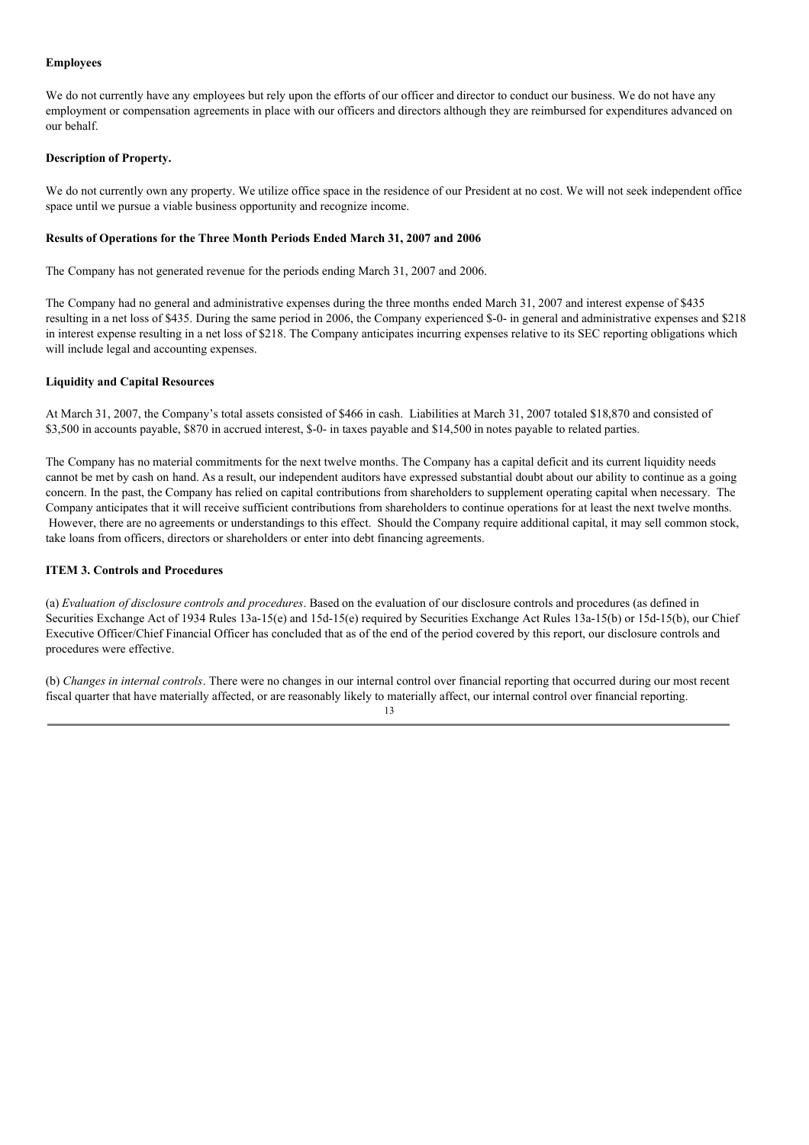## **Employees**

We do not currently have any employees but rely upon the efforts of our officer and director to conduct our business. We do not have any employment or compensation agreements in place with our officers and directors although they are reimbursed for expenditures advanced on our behalf.

## **Description of Property.**

We do not currently own any property. We utilize office space in the residence of our President at no cost. We will not seek independent office space until we pursue a viable business opportunity and recognize income.

### **Results of Operations for the Three Month Periods Ended March 31, 2007 and 2006**

The Company has not generated revenue for the periods ending March 31, 2007 and 2006.

The Company had no general and administrative expenses during the three months ended March 31, 2007 and interest expense of \$435 resulting in a net loss of \$435. During the same period in 2006, the Company experienced \$-0- in general and administrative expenses and \$218 in interest expense resulting in a net loss of \$218. The Company anticipates incurring expenses relative to its SEC reporting obligations which will include legal and accounting expenses.

### **Liquidity and Capital Resources**

At March 31, 2007, the Company's total assets consisted of \$466 in cash. Liabilities at March 31, 2007 totaled \$18,870 and consisted of \$3,500 in accounts payable, \$870 in accrued interest, \$-0- in taxes payable and \$14,500 in notes payable to related parties.

The Company has no material commitments for the next twelve months. The Company has a capital deficit and its current liquidity needs cannot be met by cash on hand. As a result, our independent auditors have expressed substantial doubt about our ability to continue as a going concern. In the past, the Company has relied on capital contributions from shareholders to supplement operating capital when necessary. The Company anticipates that it will receive sufficient contributions from shareholders to continue operations for at least the next twelve months. However, there are no agreements or understandings to this effect. Should the Company require additional capital, it may sell common stock, take loans from officers, directors or shareholders or enter into debt financing agreements.

### **ITEM 3. Controls and Procedures**

(a) *Evaluation of disclosure controls and procedures*. Based on the evaluation of our disclosure controls and procedures (as defined in Securities Exchange Act of 1934 Rules 13a-15(e) and 15d-15(e) required by Securities Exchange Act Rules 13a-15(b) or 15d-15(b), our Chief Executive Officer/Chief Financial Officer has concluded that as of the end of the period covered by this report, our disclosure controls and procedures were effective.

(b) *Changes in internal controls*. There were no changes in our internal control over financial reporting that occurred during our most recent fiscal quarter that have materially affected, or are reasonably likely to materially affect, our internal control over financial reporting.

<sup>13</sup>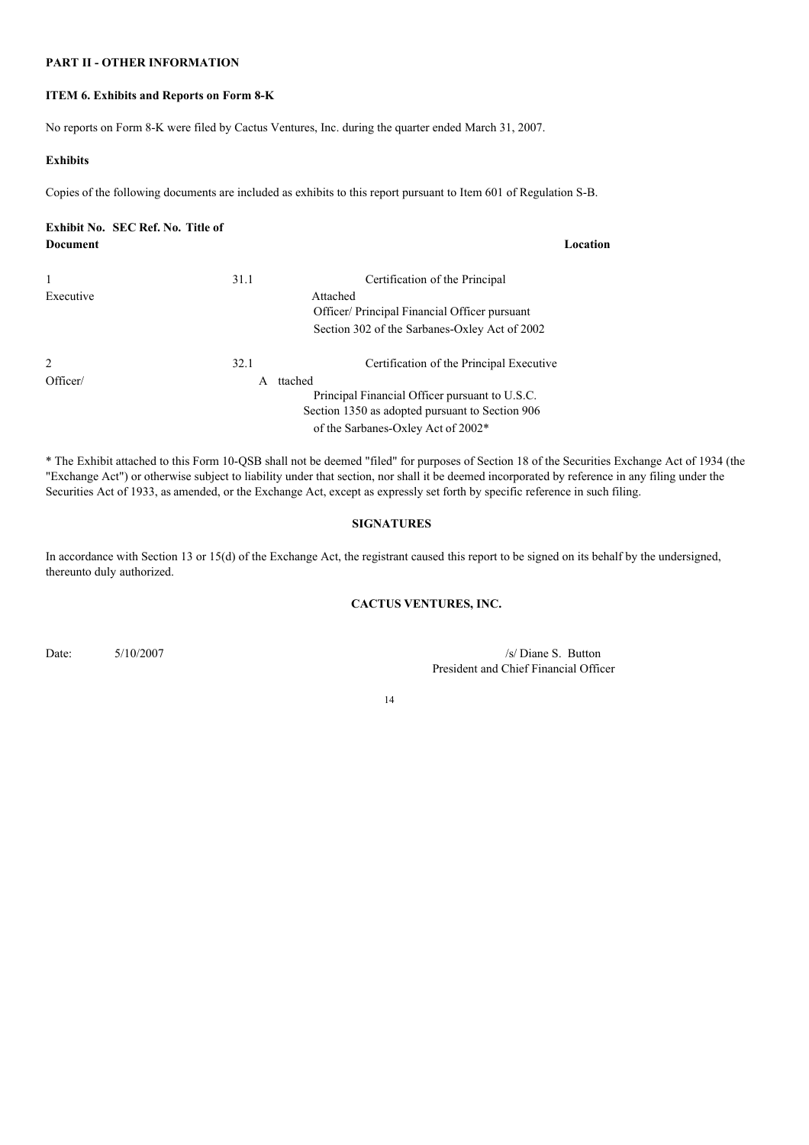# **PART II - OTHER INFORMATION**

# **ITEM 6. Exhibits and Reports on Form 8-K**

No reports on Form 8-K were filed by Cactus Ventures, Inc. during the quarter ended March 31, 2007.

## **Exhibits**

Copies of the following documents are included as exhibits to this report pursuant to Item 601 of Regulation S-B.

| Exhibit No. SEC Ref. No. Title of<br>Document |      |                                                 | Location |
|-----------------------------------------------|------|-------------------------------------------------|----------|
|                                               | 31.1 | Certification of the Principal                  |          |
| Executive                                     |      | Attached                                        |          |
|                                               |      | Officer/Principal Financial Officer pursuant    |          |
|                                               |      | Section 302 of the Sarbanes-Oxley Act of 2002   |          |
| 2                                             | 32.1 | Certification of the Principal Executive        |          |
| Officer/                                      | A    | ttached                                         |          |
|                                               |      | Principal Financial Officer pursuant to U.S.C.  |          |
|                                               |      | Section 1350 as adopted pursuant to Section 906 |          |
|                                               |      | of the Sarbanes-Oxley Act of 2002*              |          |

\* The Exhibit attached to this Form 10-QSB shall not be deemed "filed" for purposes of Section 18 of the Securities Exchange Act of 1934 (the "Exchange Act") or otherwise subject to liability under that section, nor shall it be deemed incorporated by reference in any filing under the Securities Act of 1933, as amended, or the Exchange Act, except as expressly set forth by specific reference in such filing.

## **SIGNATURES**

In accordance with Section 13 or 15(d) of the Exchange Act, the registrant caused this report to be signed on its behalf by the undersigned, thereunto duly authorized.

# **CACTUS VENTURES, INC.**

Date:  $5/10/2007$  /s/ Diane S. Button President and Chief Financial Officer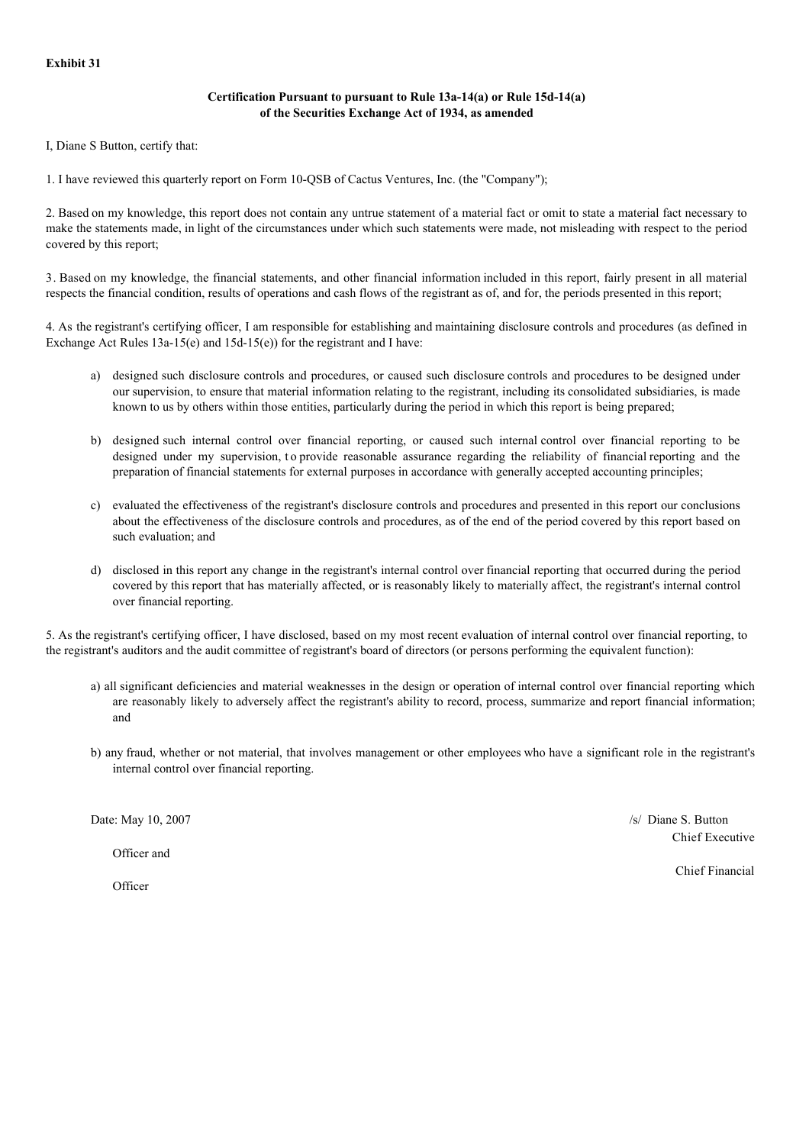# **Exhibit 31**

# **Certification Pursuant to pursuant to Rule 13a-14(a) or Rule 15d-14(a) of the Securities Exchange Act of 1934, as amended**

I, Diane S Button, certify that:

1. I have reviewed this quarterly report on Form 10-QSB of Cactus Ventures, Inc. (the "Company");

2. Based on my knowledge, this report does not contain any untrue statement of a material fact or omit to state a material fact necessary to make the statements made, in light of the circumstances under which such statements were made, not misleading with respect to the period covered by this report;

3. Based on my knowledge, the financial statements, and other financial information included in this report, fairly present in all material respects the financial condition, results of operations and cash flows of the registrant as of, and for, the periods presented in this report;

4. As the registrant's certifying officer, I am responsible for establishing and maintaining disclosure controls and procedures (as defined in Exchange Act Rules 13a-15(e) and 15d-15(e)) for the registrant and I have:

- a) designed such disclosure controls and procedures, or caused such disclosure controls and procedures to be designed under our supervision, to ensure that material information relating to the registrant, including its consolidated subsidiaries, is made known to us by others within those entities, particularly during the period in which this report is being prepared;
- b) designed such internal control over financial reporting, or caused such internal control over financial reporting to be designed under my supervision, to provide reasonable assurance regarding the reliability of financial reporting and the preparation of financial statements for external purposes in accordance with generally accepted accounting principles;
- c) evaluated the effectiveness of the registrant's disclosure controls and procedures and presented in this report our conclusions about the effectiveness of the disclosure controls and procedures, as of the end of the period covered by this report based on such evaluation; and
- d) disclosed in this report any change in the registrant's internal control over financial reporting that occurred during the period covered by this report that has materially affected, or is reasonably likely to materially affect, the registrant's internal control over financial reporting.

5. As the registrant's certifying officer, I have disclosed, based on my most recent evaluation of internal control over financial reporting, to the registrant's auditors and the audit committee of registrant's board of directors (or persons performing the equivalent function):

- a) all significant deficiencies and material weaknesses in the design or operation of internal control over financial reporting which are reasonably likely to adversely affect the registrant's ability to record, process, summarize and report financial information; and
- b) any fraud, whether or not material, that involves management or other employees who have a significant role in the registrant's internal control over financial reporting.

Date: May 10, 2007 /s/ Diane S. Button

Officer and

Chief Executive

**Officer** 

Chief Financial